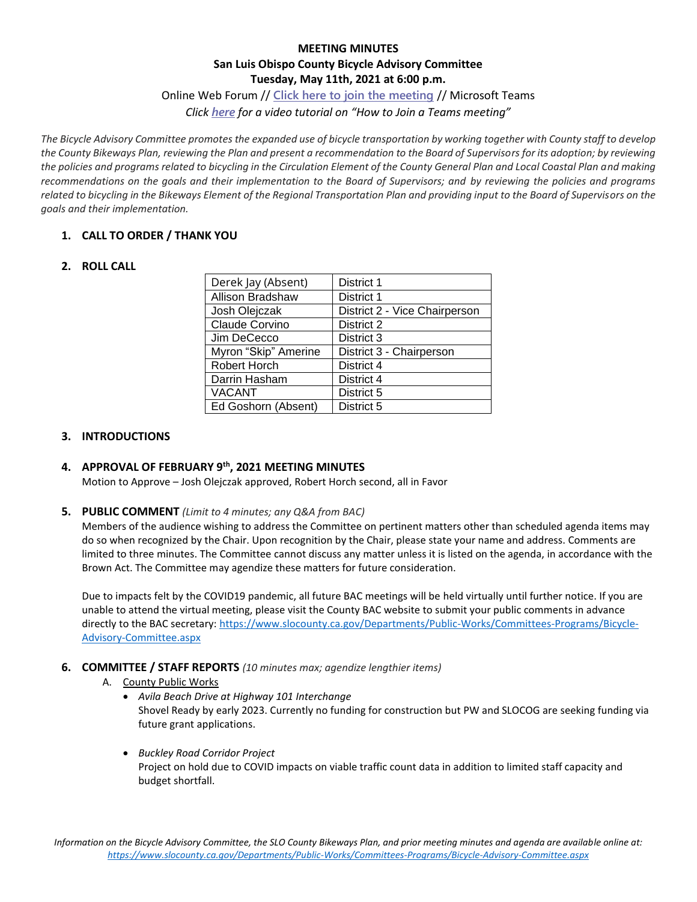# **MEETING MINUTES San Luis Obispo County Bicycle Advisory Committee Tuesday, May 11th, 2021 at 6:00 p.m.**

### Online Web Forum // **[Click here to join the meeting](https://teams.microsoft.com/l/meetup-join/19%3ameeting_ODE3YjAxOTItMjdjZC00NTNiLTk1ZjEtODkwMWEwMTE4Njk2%40thread.v2/0?context=%7b%22Tid%22%3a%2284c3c774-7fdf-40e2-a590-27b2e70f8126%22%2c%22Oid%22%3a%22accc1d09-640f-48ff-93c9-96f845f6221a%22%7d)** // Microsoft Teams

*Click [here](https://www.microsoft.com/en-us/videoplayer/embed/RE3Oz24?pid=ocpVideo0-innerdiv-oneplayer&postJsllMsg=true&maskLevel=20&market=en-us) for a video tutorial on "How to Join a Teams meeting"*

*The Bicycle Advisory Committee promotes the expanded use of bicycle transportation by working together with County staff to develop the County Bikeways Plan, reviewing the Plan and present a recommendation to the Board of Supervisors for its adoption; by reviewing the policies and programs related to bicycling in the Circulation Element of the County General Plan and Local Coastal Plan and making recommendations on the goals and their implementation to the Board of Supervisors; and by reviewing the policies and programs related to bicycling in the Bikeways Element of the Regional Transportation Plan and providing input to the Board of Supervisors on the goals and their implementation.*

# **1. CALL TO ORDER / THANK YOU**

### **2. ROLL CALL**

| Derek Jay (Absent)   | District 1                    |
|----------------------|-------------------------------|
| Allison Bradshaw     | District 1                    |
| Josh Olejczak        | District 2 - Vice Chairperson |
| Claude Corvino       | District 2                    |
| Jim DeCecco          | District 3                    |
| Myron "Skip" Amerine | District 3 - Chairperson      |
| Robert Horch         | District 4                    |
| Darrin Hasham        | District 4                    |
| <b>VACANT</b>        | District 5                    |
| Ed Goshorn (Absent)  | District 5                    |

#### **3. INTRODUCTIONS**

## **4. APPROVAL OF FEBRUARY 9th, 2021 MEETING MINUTES**

Motion to Approve – Josh Olejczak approved, Robert Horch second, all in Favor

#### **5. PUBLIC COMMENT** *(Limit to 4 minutes; any Q&A from BAC)*

Members of the audience wishing to address the Committee on pertinent matters other than scheduled agenda items may do so when recognized by the Chair. Upon recognition by the Chair, please state your name and address. Comments are limited to three minutes. The Committee cannot discuss any matter unless it is listed on the agenda, in accordance with the Brown Act. The Committee may agendize these matters for future consideration.

Due to impacts felt by the COVID19 pandemic, all future BAC meetings will be held virtually until further notice. If you are unable to attend the virtual meeting, please visit the County BAC website to submit your public comments in advance directly to the BAC secretary: [https://www.slocounty.ca.gov/Departments/Public-Works/Committees-Programs/Bicycle-](https://www.slocounty.ca.gov/Departments/Public-Works/Committees-Programs/Bicycle-Advisory-Committee.aspx)[Advisory-Committee.aspx](https://www.slocounty.ca.gov/Departments/Public-Works/Committees-Programs/Bicycle-Advisory-Committee.aspx)

#### **6. COMMITTEE / STAFF REPORTS** *(10 minutes max; agendize lengthier items)*

#### A. County Public Works

- *Avila Beach Drive at Highway 101 Interchange* Shovel Ready by early 2023. Currently no funding for construction but PW and SLOCOG are seeking funding via future grant applications.
- *Buckley Road Corridor Project* Project on hold due to COVID impacts on viable traffic count data in addition to limited staff capacity and budget shortfall.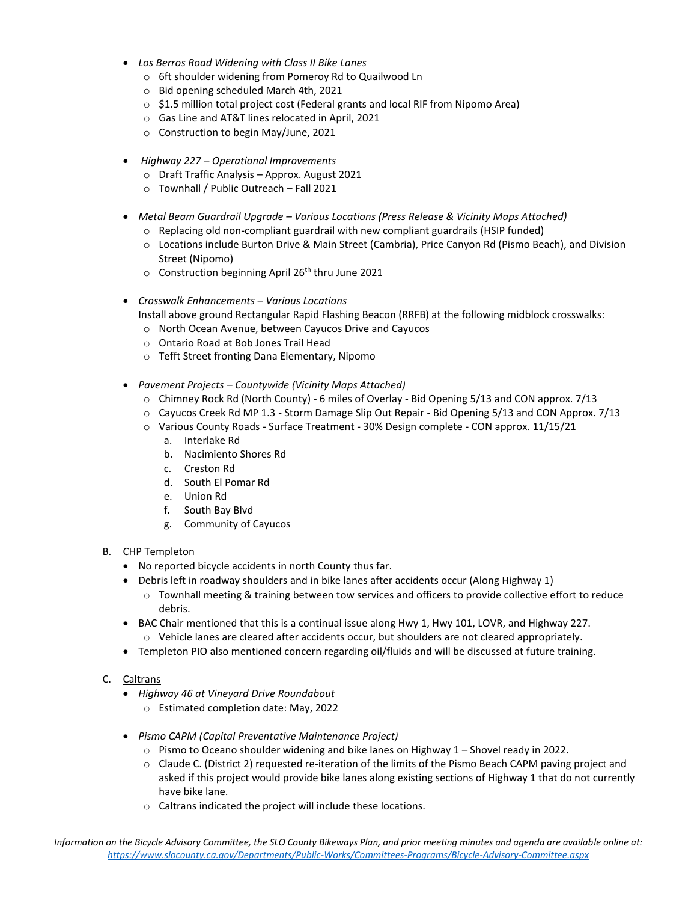- *Los Berros Road Widening with Class II Bike Lanes*
	- o 6ft shoulder widening from Pomeroy Rd to Quailwood Ln
	- o Bid opening scheduled March 4th, 2021
	- $\circ$  \$1.5 million total project cost (Federal grants and local RIF from Nipomo Area)
	- o Gas Line and AT&T lines relocated in April, 2021
	- o Construction to begin May/June, 2021
- *Highway 227 – Operational Improvements*
	- o Draft Traffic Analysis Approx. August 2021
	- o Townhall / Public Outreach Fall 2021
- *Metal Beam Guardrail Upgrade – Various Locations (Press Release & Vicinity Maps Attached)*
	- $\circ$  Replacing old non-compliant guardrail with new compliant guardrails (HSIP funded)
	- o Locations include Burton Drive & Main Street (Cambria), Price Canyon Rd (Pismo Beach), and Division Street (Nipomo)
	- $\circ$  Construction beginning April 26<sup>th</sup> thru June 2021
- *Crosswalk Enhancements – Various Locations*
	- Install above ground Rectangular Rapid Flashing Beacon (RRFB) at the following midblock crosswalks:
	- o North Ocean Avenue, between Cayucos Drive and Cayucos
	- o Ontario Road at Bob Jones Trail Head
	- o Tefft Street fronting Dana Elementary, Nipomo
- *Pavement Projects – Countywide (Vicinity Maps Attached)*
	- o Chimney Rock Rd (North County) 6 miles of Overlay Bid Opening 5/13 and CON approx. 7/13
	- o Cayucos Creek Rd MP 1.3 Storm Damage Slip Out Repair Bid Opening 5/13 and CON Approx. 7/13
	- o Various County Roads Surface Treatment 30% Design complete CON approx. 11/15/21
		- a. Interlake Rd
		- b. Nacimiento Shores Rd
		- c. Creston Rd
		- d. South El Pomar Rd
		- e. Union Rd
		- f. South Bay Blvd
		- g. Community of Cayucos
- B. CHP Templeton
	- No reported bicycle accidents in north County thus far.
	- Debris left in roadway shoulders and in bike lanes after accidents occur (Along Highway 1)
		- o Townhall meeting & training between tow services and officers to provide collective effort to reduce debris.
	- BAC Chair mentioned that this is a continual issue along Hwy 1, Hwy 101, LOVR, and Highway 227.  $\circ$  Vehicle lanes are cleared after accidents occur, but shoulders are not cleared appropriately.
	- Templeton PIO also mentioned concern regarding oil/fluids and will be discussed at future training.
- C. Caltrans
	- *Highway 46 at Vineyard Drive Roundabout*
		- o Estimated completion date: May, 2022
	- *Pismo CAPM (Capital Preventative Maintenance Project)*
		- $\circ$  Pismo to Oceano shoulder widening and bike lanes on Highway 1 Shovel ready in 2022.
		- o Claude C. (District 2) requested re-iteration of the limits of the Pismo Beach CAPM paving project and asked if this project would provide bike lanes along existing sections of Highway 1 that do not currently have bike lane.
		- o Caltrans indicated the project will include these locations.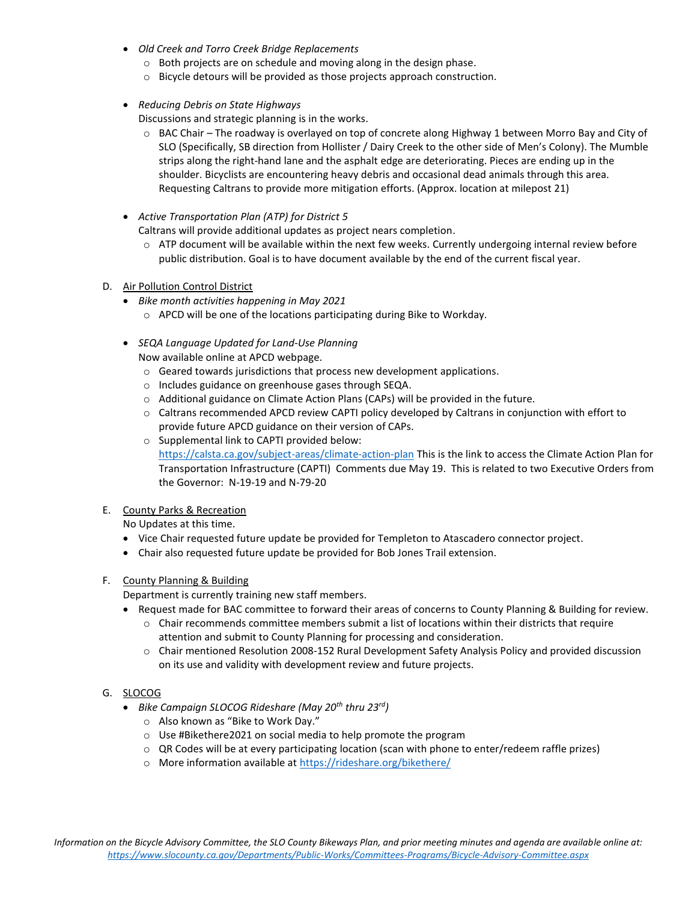- *Old Creek and Torro Creek Bridge Replacements*
	- o Both projects are on schedule and moving along in the design phase.
	- o Bicycle detours will be provided as those projects approach construction.
- *Reducing Debris on State Highways*

Discussions and strategic planning is in the works.

- o BAC Chair The roadway is overlayed on top of concrete along Highway 1 between Morro Bay and City of SLO (Specifically, SB direction from Hollister / Dairy Creek to the other side of Men's Colony). The Mumble strips along the right-hand lane and the asphalt edge are deteriorating. Pieces are ending up in the shoulder. Bicyclists are encountering heavy debris and occasional dead animals through this area. Requesting Caltrans to provide more mitigation efforts. (Approx. location at milepost 21)
- *Active Transportation Plan (ATP) for District 5*

Caltrans will provide additional updates as project nears completion.

- o ATP document will be available within the next few weeks. Currently undergoing internal review before public distribution. Goal is to have document available by the end of the current fiscal year.
- D. Air Pollution Control District
	- *Bike month activities happening in May 2021*
		- o APCD will be one of the locations participating during Bike to Workday.
	- *SEQA Language Updated for Land-Use Planning*
		- Now available online at APCD webpage.
		- o Geared towards jurisdictions that process new development applications.
		- o Includes guidance on greenhouse gases through SEQA.
		- o Additional guidance on Climate Action Plans (CAPs) will be provided in the future.
		- o Caltrans recommended APCD review CAPTI policy developed by Caltrans in conjunction with effort to provide future APCD guidance on their version of CAPs.
		- o Supplemental link to CAPTI provided below: <https://calsta.ca.gov/subject-areas/climate-action-plan> This is the link to access the Climate Action Plan for Transportation Infrastructure (CAPTI) Comments due May 19. This is related to two Executive Orders from the Governor: N-19-19 and N-79-20

## E. County Parks & Recreation

No Updates at this time.

- Vice Chair requested future update be provided for Templeton to Atascadero connector project.
- Chair also requested future update be provided for Bob Jones Trail extension.

#### F. County Planning & Building

Department is currently training new staff members.

- Request made for BAC committee to forward their areas of concerns to County Planning & Building for review.
	- o Chair recommends committee members submit a list of locations within their districts that require attention and submit to County Planning for processing and consideration.
	- o Chair mentioned Resolution 2008-152 Rural Development Safety Analysis Policy and provided discussion on its use and validity with development review and future projects.

## G. SLOCOG

- *Bike Campaign SLOCOG Rideshare (May 20th thru 23rd)*
	- o Also known as "Bike to Work Day."
	- o Use #Bikethere2021 on social media to help promote the program
	- $\circ$  QR Codes will be at every participating location (scan with phone to enter/redeem raffle prizes)
	- o More information available at <https://rideshare.org/bikethere/>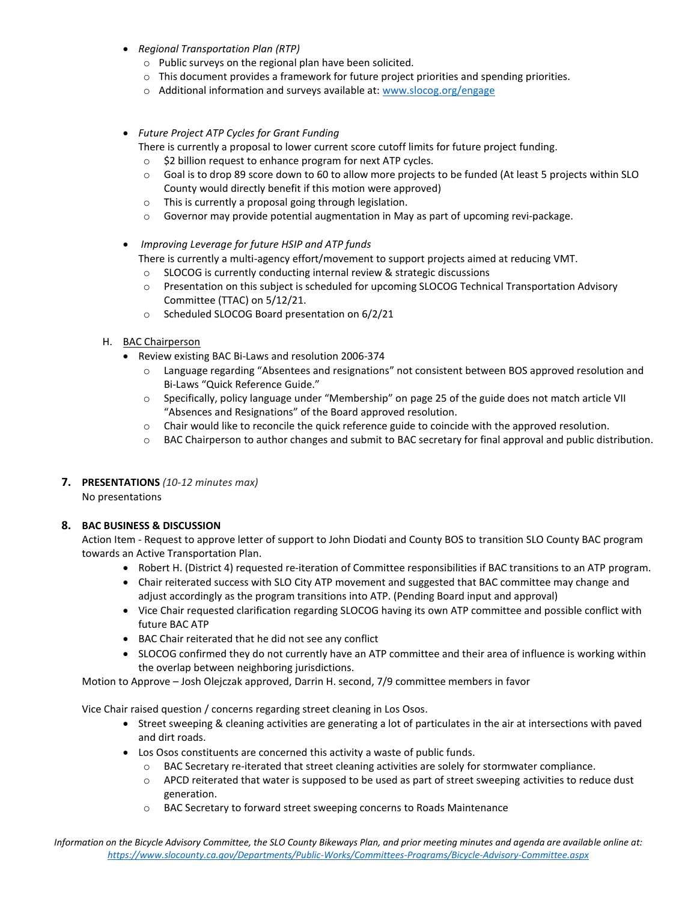- *Regional Transportation Plan (RTP)*
	- o Public surveys on the regional plan have been solicited.
	- $\circ$  This document provides a framework for future project priorities and spending priorities.
	- o Additional information and surveys available at: [www.slocog.org/engage](http://www.slocog.org/engage)
- *Future Project ATP Cycles for Grant Funding*
	- There is currently a proposal to lower current score cutoff limits for future project funding.
	- o \$2 billion request to enhance program for next ATP cycles.
	- o Goal is to drop 89 score down to 60 to allow more projects to be funded (At least 5 projects within SLO County would directly benefit if this motion were approved)
	- o This is currently a proposal going through legislation.
	- $\circ$  Governor may provide potential augmentation in May as part of upcoming revi-package.
- *Improving Leverage for future HSIP and ATP funds*
	- There is currently a multi-agency effort/movement to support projects aimed at reducing VMT.
	- o SLOCOG is currently conducting internal review & strategic discussions
	- o Presentation on this subject is scheduled for upcoming SLOCOG Technical Transportation Advisory Committee (TTAC) on 5/12/21.
	- o Scheduled SLOCOG Board presentation on 6/2/21
- H. BAC Chairperson
	- Review existing BAC Bi-Laws and resolution 2006-374
		- o Language regarding "Absentees and resignations" not consistent between BOS approved resolution and Bi-Laws "Quick Reference Guide."
		- o Specifically, policy language under "Membership" on page 25 of the guide does not match article VII "Absences and Resignations" of the Board approved resolution.
		- o Chair would like to reconcile the quick reference guide to coincide with the approved resolution.
		- o BAC Chairperson to author changes and submit to BAC secretary for final approval and public distribution.
- **7. PRESENTATIONS** *(10-12 minutes max)* No presentations

#### **8. BAC BUSINESS & DISCUSSION**

Action Item - Request to approve letter of support to John Diodati and County BOS to transition SLO County BAC program towards an Active Transportation Plan.

- Robert H. (District 4) requested re-iteration of Committee responsibilities if BAC transitions to an ATP program.
- Chair reiterated success with SLO City ATP movement and suggested that BAC committee may change and adjust accordingly as the program transitions into ATP. (Pending Board input and approval)
- Vice Chair requested clarification regarding SLOCOG having its own ATP committee and possible conflict with future BAC ATP
- BAC Chair reiterated that he did not see any conflict
- SLOCOG confirmed they do not currently have an ATP committee and their area of influence is working within the overlap between neighboring jurisdictions.

Motion to Approve – Josh Olejczak approved, Darrin H. second, 7/9 committee members in favor

Vice Chair raised question / concerns regarding street cleaning in Los Osos.

- Street sweeping & cleaning activities are generating a lot of particulates in the air at intersections with paved and dirt roads.
- Los Osos constituents are concerned this activity a waste of public funds.
	- o BAC Secretary re-iterated that street cleaning activities are solely for stormwater compliance.
	- o APCD reiterated that water is supposed to be used as part of street sweeping activities to reduce dust generation.
	- o BAC Secretary to forward street sweeping concerns to Roads Maintenance

*Information on the Bicycle Advisory Committee, the SLO County Bikeways Plan, and prior meeting minutes and agenda are available online at: <https://www.slocounty.ca.gov/Departments/Public-Works/Committees-Programs/Bicycle-Advisory-Committee.aspx>*